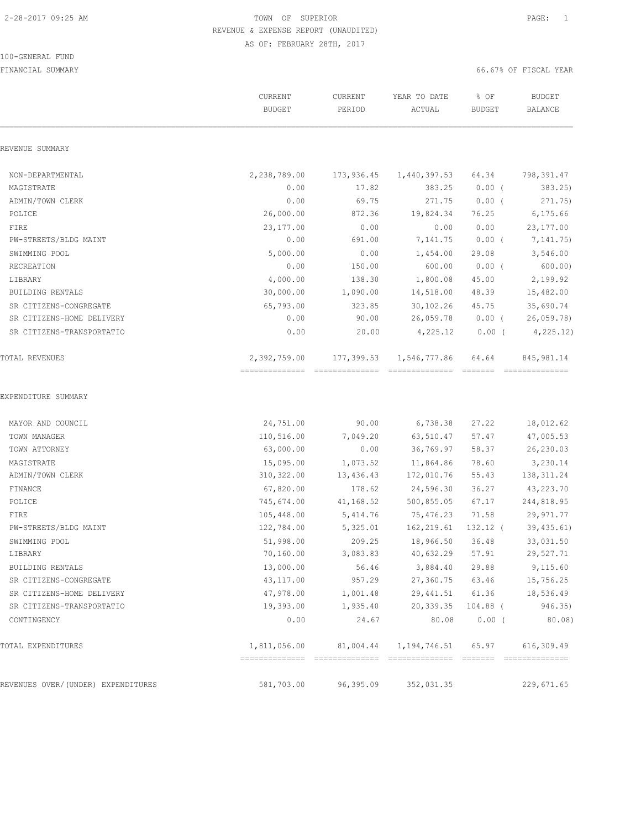### 100-GENERAL FUND

|                                          | CURRENT<br><b>BUDGET</b> | CURRENT<br>PERIOD | YEAR TO DATE<br>ACTUAL                                   | % OF<br>BUDGET                 | <b>BUDGET</b><br>BALANCE      |
|------------------------------------------|--------------------------|-------------------|----------------------------------------------------------|--------------------------------|-------------------------------|
| REVENUE SUMMARY                          |                          |                   |                                                          |                                |                               |
| NON-DEPARTMENTAL                         | 2,238,789.00             | 173,936.45        | 1,440,397.53                                             | 64.34                          | 798,391.47                    |
| MAGISTRATE                               | 0.00                     | 17.82             | 383.25                                                   | $0.00$ (                       | 383.25)                       |
| ADMIN/TOWN CLERK                         | 0.00                     | 69.75             | 271.75                                                   | $0.00$ (                       | 271.75)                       |
| POLICE                                   | 26,000.00                | 872.36            | 19,824.34                                                | 76.25                          | 6, 175.66                     |
| FIRE                                     | 23,177.00                | 0.00              | 0.00                                                     | 0.00                           | 23, 177.00                    |
| PW-STREETS/BLDG MAINT                    | 0.00                     | 691.00            | 7,141.75                                                 | $0.00$ (                       | 7,141.75)                     |
| SWIMMING POOL                            | 5,000.00                 | 0.00              | 1,454.00                                                 | 29.08                          | 3,546.00                      |
| RECREATION                               | 0.00                     | 150.00            | 600.00                                                   | $0.00$ (                       | 600.00                        |
| LIBRARY                                  | 4,000.00                 | 138.30            | 1,800.08                                                 | 45.00                          | 2,199.92                      |
| BUILDING RENTALS                         | 30,000.00                | 1,090.00          | 14,518.00                                                | 48.39                          | 15,482.00                     |
| SR CITIZENS-CONGREGATE                   | 65,793.00                | 323.85            | 30,102.26                                                | 45.75                          | 35,690.74                     |
| SR CITIZENS-HOME DELIVERY                | 0.00                     | 90.00             | 26,059.78                                                | $0.00$ (                       | 26,059.78)                    |
| SR CITIZENS-TRANSPORTATIO                | 0.00                     | 20.00             | 4,225.12                                                 | $0.00$ (                       | 4, 225.12)                    |
| TOTAL REVENUES                           | 2,392,759.00             | 177,399.53        | 1,546,777.86                                             | 64.64                          | 845, 981.14<br>============== |
| MAYOR AND COUNCIL                        | 24,751.00                | 90.00             | 6,738.38                                                 | 27.22                          | 18,012.62                     |
|                                          |                          |                   |                                                          |                                |                               |
| TOWN MANAGER                             | 110,516.00               | 7,049.20          | 63,510.47                                                | 57.47                          | 47,005.53                     |
| TOWN ATTORNEY                            | 63,000.00                | 0.00              | 36,769.97                                                | 58.37                          | 26,230.03                     |
| MAGISTRATE                               | 15,095.00                | 1,073.52          | 11,864.86                                                | 78.60                          | 3,230.14                      |
| ADMIN/TOWN CLERK                         | 310,322.00               | 13,436.43         | 172,010.76                                               | 55.43                          | 138, 311.24                   |
| FINANCE                                  | 67,820.00                | 178.62            | 24,596.30                                                | 36.27                          | 43,223.70                     |
| POLICE                                   | 745,674.00               | 41,168.52         | 500,855.05                                               | 67.17                          | 244,818.95                    |
| FIRE                                     | 105,448.00               | 5,414.76          | 75,476.23                                                | 71.58                          | 29,971.77                     |
| PW-STREETS/BLDG MAINT                    | 122,784.00               | 5,325.01          | 162,219.61                                               | 132.12 (                       | 39,435.61)                    |
| SWIMMING POOL                            | 51,998.00                | 209.25            | 18,966.50                                                | 36.48                          | 33,031.50                     |
| LIBRARY                                  | 70,160.00                | 3,083.83          | 40,632.29                                                | 57.91                          | 29,527.71                     |
| BUILDING RENTALS                         | 13,000.00                | 56.46             | 3,884.40                                                 | 29.88<br>63.46                 | 9,115.60                      |
| SR CITIZENS-CONGREGATE                   | 43,117.00                | 957.29            | 27,360.75                                                |                                | 15,756.25                     |
| SR CITIZENS-HOME DELIVERY                | 47,978.00                | 1,001.48          |                                                          |                                | 29,441.51 61.36 18,536.49     |
| SR CITIZENS-TRANSPORTATIO<br>CONTINGENCY | 19,393.00<br>0.00        | 1,935.40<br>24.67 | 80.08                                                    | 20,339.35 104.88 (<br>$0.00$ ( | 946.35)<br>80.08)             |
| TOTAL EXPENDITURES                       |                          |                   | 1,811,056.00  81,004.44  1,194,746.51  65.97  616,309.49 |                                |                               |
|                                          |                          |                   |                                                          |                                |                               |
| REVENUES OVER/(UNDER) EXPENDITURES       | 581,703.00               | 96,395.09         | 352,031.35                                               |                                | 229,671.65                    |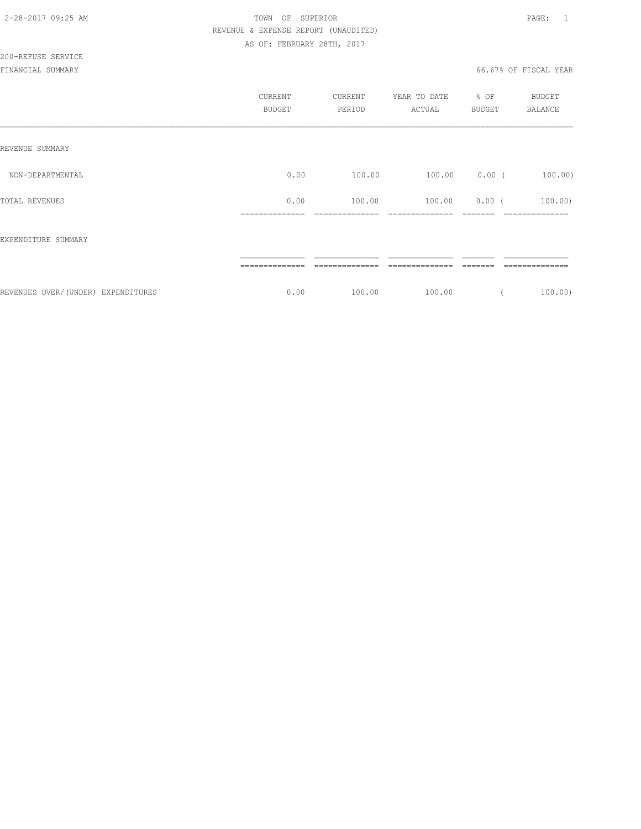|                                    | <b>CURRENT</b><br><b>BUDGET</b> | CURRENT<br>PERIOD        | YEAR TO DATE<br>ACTUAL    | % OF<br><b>BUDGET</b> | <b>BUDGET</b><br><b>BALANCE</b> |
|------------------------------------|---------------------------------|--------------------------|---------------------------|-----------------------|---------------------------------|
| REVENUE SUMMARY                    |                                 |                          |                           |                       |                                 |
| NON-DEPARTMENTAL                   | 0.00                            | 100.00                   | 100.00                    | $0.00$ (              | 100.00)                         |
| TOTAL REVENUES                     | 0.00<br>--------------          | 100.00<br>-------------- | 100.00<br>--------------- | $0.00$ (<br>-------   | 100.00<br>--------------        |
| EXPENDITURE SUMMARY                |                                 |                          |                           |                       |                                 |
|                                    |                                 |                          |                           |                       |                                 |
| REVENUES OVER/(UNDER) EXPENDITURES | 0.00                            | 100.00                   | 100.00                    |                       | $100.00$ )                      |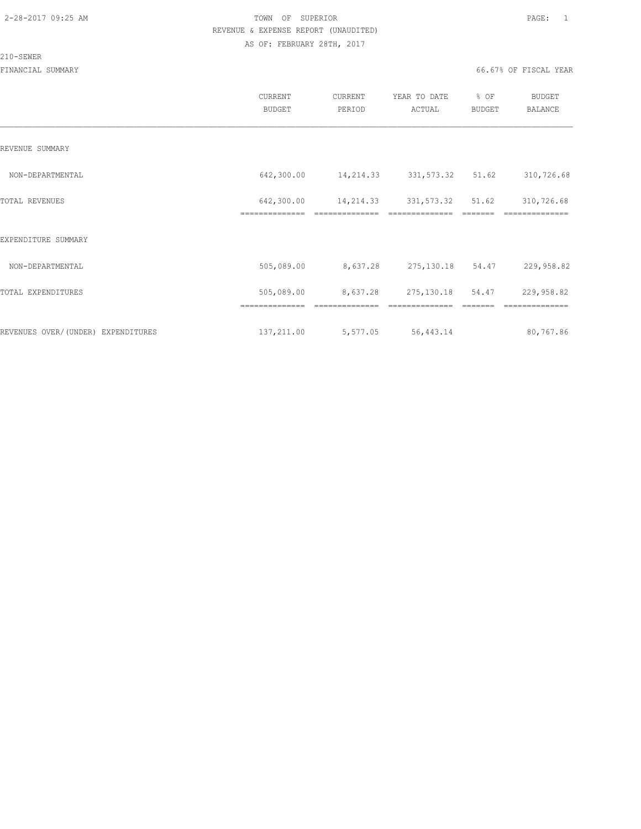#### 210-SEWER

|                                    | CURRENT<br><b>BUDGET</b>     | CURRENT<br>PERIOD | YEAR TO DATE<br>ACTUAL     | % OF<br>BUDGET | <b>BUDGET</b><br>BALANCE |
|------------------------------------|------------------------------|-------------------|----------------------------|----------------|--------------------------|
| REVENUE SUMMARY                    |                              |                   |                            |                |                          |
| NON-DEPARTMENTAL                   | 642,300.00                   | 14,214.33         | 331, 573.32 51.62          |                | 310,726.68               |
| TOTAL REVENUES                     | 642,300.00<br>============== | 14,214.33         | 331,573.32<br>============ | 51.62          | 310,726.68               |
| EXPENDITURE SUMMARY                |                              |                   |                            |                |                          |
| NON-DEPARTMENTAL                   | 505,089.00                   | 8,637.28          | 275,130.18                 | 54.47          | 229,958.82               |
| TOTAL EXPENDITURES                 | 505,089.00                   | 8,637.28          | 275,130.18                 | 54.47          | 229,958.82               |
|                                    | ==============               |                   | --------------             |                | ==============           |
| REVENUES OVER/(UNDER) EXPENDITURES | 137,211.00                   | 5,577.05          | 56, 443.14                 |                | 80,767.86                |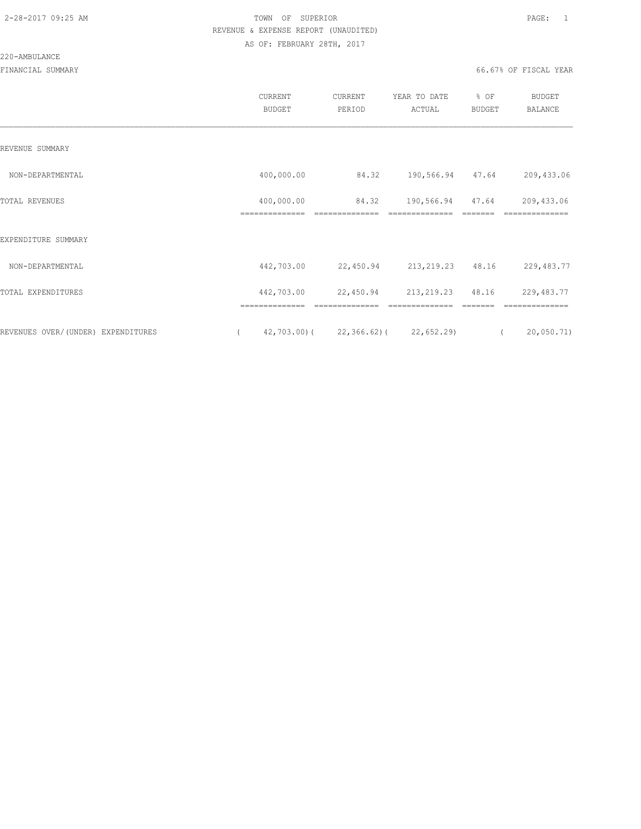#### 220-AMBULANCE

|                                    | CURRENT<br><b>BUDGET</b>     | CURRENT<br>PERIOD                         | YEAR TO DATE<br>ACTUAL             | % OF<br><b>BUDGET</b> | <b>BUDGET</b><br><b>BALANCE</b> |
|------------------------------------|------------------------------|-------------------------------------------|------------------------------------|-----------------------|---------------------------------|
| REVENUE SUMMARY                    |                              |                                           |                                    |                       |                                 |
| NON-DEPARTMENTAL                   | 400,000.00                   | 84.32                                     | 190,566.94 47.64                   |                       | 209,433.06                      |
| TOTAL REVENUES                     | 400,000.00<br>-------------- | 84.32<br>--------------                   | 190,566.94 47.64<br>-------------- | -------               | 209, 433.06<br>==============   |
| EXPENDITURE SUMMARY                |                              |                                           |                                    |                       |                                 |
| NON-DEPARTMENTAL                   | 442,703.00                   |                                           | 22,450.94 213,219.23 48.16         |                       | 229,483.77                      |
| TOTAL EXPENDITURES                 | 442,703.00                   | 22,450.94                                 | 213, 219. 23 48. 16                |                       | 229, 483.77                     |
|                                    | ==============               | --------------                            | ==============                     |                       | ==============                  |
| REVENUES OVER/(UNDER) EXPENDITURES |                              | $42,703.00$ ( $22,366.62$ ( $22,652.29$ ) |                                    | $\left($              | 20,050.71)                      |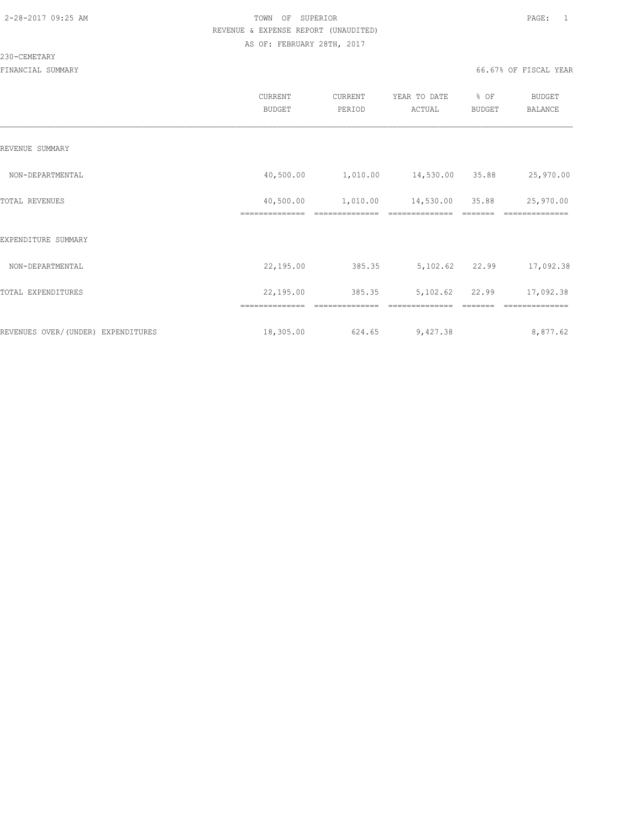#### 230-CEMETARY

|                                    | CURRENT<br><b>BUDGET</b>    | CURRENT<br>PERIOD | YEAR TO DATE<br>ACTUAL | % OF<br>BUDGET | <b>BUDGET</b><br><b>BALANCE</b> |
|------------------------------------|-----------------------------|-------------------|------------------------|----------------|---------------------------------|
| REVENUE SUMMARY                    |                             |                   |                        |                |                                 |
| NON-DEPARTMENTAL                   | 40,500.00                   | 1,010.00          | 14,530.00              | 35.88          | 25,970.00                       |
| TOTAL REVENUES                     | 40,500.00<br>============== | 1,010.00          | 14,530.00              | 35.88          | 25,970.00                       |
| EXPENDITURE SUMMARY                |                             |                   |                        |                |                                 |
| NON-DEPARTMENTAL                   | 22,195.00                   | 385.35            | 5,102.62               | 22.99          | 17,092.38                       |
| TOTAL EXPENDITURES                 | 22,195.00                   | 385.35            | 5,102.62               | 22.99          | 17,092.38                       |
|                                    |                             |                   |                        |                |                                 |
| REVENUES OVER/(UNDER) EXPENDITURES | 18,305.00                   | 624.65            | 9,427.38               |                | 8,877.62                        |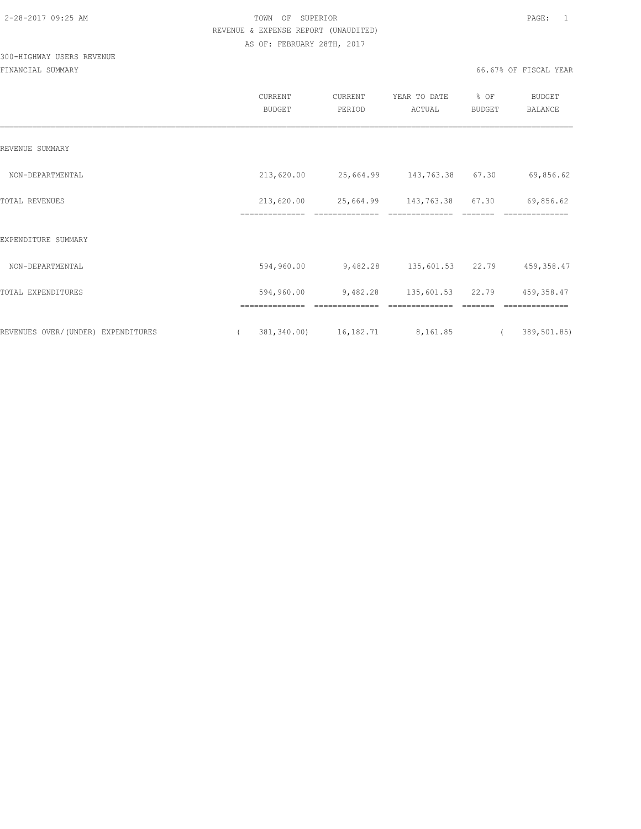## 300-HIGHWAY USERS REVENUE

|                                    | CURRENT<br><b>BUDGET</b>     | CURRENT<br>PERIOD           | YEAR TO DATE<br>ACTUAL             | % OF<br>BUDGET                                                                                                                                                                                                                                                                                                                                                                                                                                                                         | <b>BUDGET</b><br><b>BALANCE</b> |
|------------------------------------|------------------------------|-----------------------------|------------------------------------|----------------------------------------------------------------------------------------------------------------------------------------------------------------------------------------------------------------------------------------------------------------------------------------------------------------------------------------------------------------------------------------------------------------------------------------------------------------------------------------|---------------------------------|
| REVENUE SUMMARY                    |                              |                             |                                    |                                                                                                                                                                                                                                                                                                                                                                                                                                                                                        |                                 |
| NON-DEPARTMENTAL                   | 213,620.00                   |                             | 25,664.99 143,763.38 67.30         |                                                                                                                                                                                                                                                                                                                                                                                                                                                                                        | 69,856.62                       |
| <b>TOTAL REVENUES</b>              | 213,620.00<br>============== | 25,664.99<br>22222222222222 | 143,763.38<br>==============       | 67.30                                                                                                                                                                                                                                                                                                                                                                                                                                                                                  | 69,856.62<br>==============     |
| EXPENDITURE SUMMARY                |                              |                             |                                    |                                                                                                                                                                                                                                                                                                                                                                                                                                                                                        |                                 |
| NON-DEPARTMENTAL                   | 594,960.00                   | 9,482.28                    | 135,601.53 22.79                   |                                                                                                                                                                                                                                                                                                                                                                                                                                                                                        | 459,358.47                      |
| TOTAL EXPENDITURES                 | 594,960.00<br>============== | 9,482.28<br>==============  | 135,601.53 22.79<br>============== | $\begin{array}{cccccccccccccc} \multicolumn{2}{c}{} & \multicolumn{2}{c}{} & \multicolumn{2}{c}{} & \multicolumn{2}{c}{} & \multicolumn{2}{c}{} & \multicolumn{2}{c}{} & \multicolumn{2}{c}{} & \multicolumn{2}{c}{} & \multicolumn{2}{c}{} & \multicolumn{2}{c}{} & \multicolumn{2}{c}{} & \multicolumn{2}{c}{} & \multicolumn{2}{c}{} & \multicolumn{2}{c}{} & \multicolumn{2}{c}{} & \multicolumn{2}{c}{} & \multicolumn{2}{c}{} & \multicolumn{2}{c}{} & \multicolumn{2}{c}{} & \$ | 459,358.47<br>==============    |
| REVENUES OVER/(UNDER) EXPENDITURES | $\left($                     | 381, 340.00) 16, 182.71     | 8,161.85                           | $\sqrt{2}$                                                                                                                                                                                                                                                                                                                                                                                                                                                                             | 389,501.85)                     |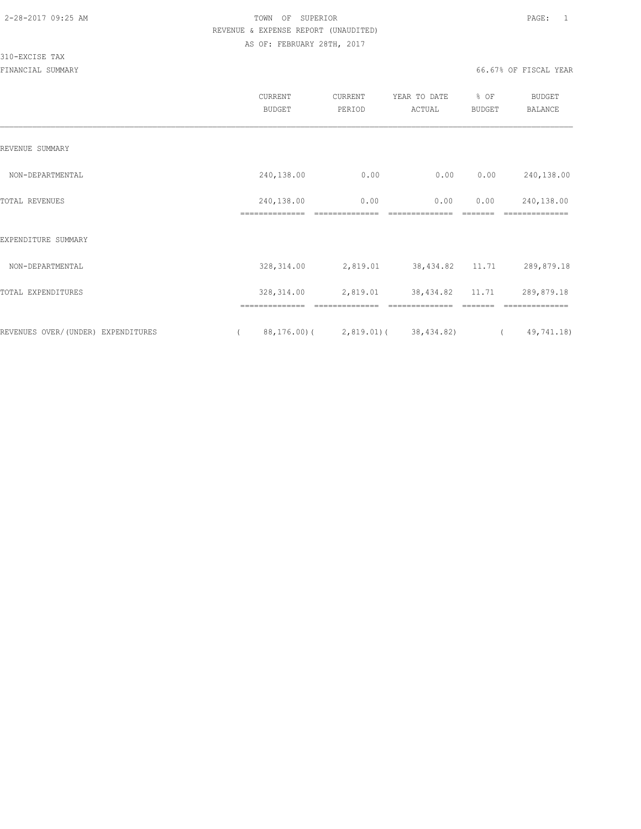#### 310-EXCISE TAX

|                                     | CURRENT<br><b>BUDGET</b>     | CURRENT<br>PERIOD                     | YEAR TO DATE<br>ACTUAL | % OF<br><b>BUDGET</b> | BUDGET<br><b>BALANCE</b>     |
|-------------------------------------|------------------------------|---------------------------------------|------------------------|-----------------------|------------------------------|
| REVENUE SUMMARY                     |                              |                                       |                        |                       |                              |
| NON-DEPARTMENTAL                    | 240,138.00                   | 0.00                                  | 0.00                   | 0.00                  | 240,138.00                   |
| TOTAL REVENUES                      | 240,138.00<br>-------------- | 0.00                                  | 0.00                   | 0.00                  | 240,138.00<br>============== |
| EXPENDITURE SUMMARY                 |                              |                                       |                        |                       |                              |
| NON-DEPARTMENTAL                    | 328, 314.00                  | 2,819.01                              | 38,434.82 11.71        |                       | 289,879.18                   |
| TOTAL EXPENDITURES                  | 328, 314.00                  | 2,819.01                              | 38,434.82              | 11.71                 | 289,879.18                   |
|                                     |                              |                                       |                        |                       |                              |
| REVENUES OVER/ (UNDER) EXPENDITURES |                              | $88, 176.00$ ( 2,819.01) ( 38,434.82) |                        |                       | 49,741.18)<br>$\sqrt{2}$     |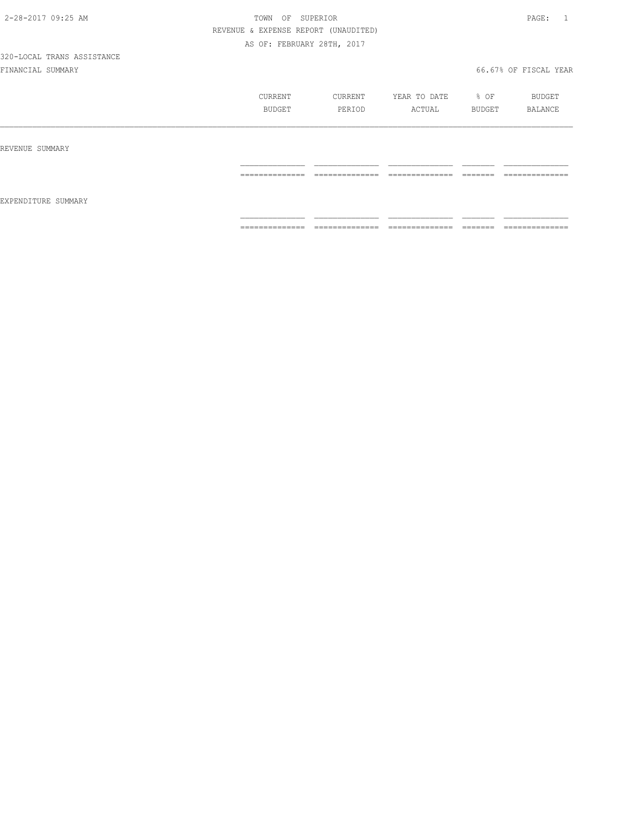|                     | CURRENT<br>BUDGET                                                                                                                                                                                                                                                                                                                                                                                                                                                                            | CURRENT<br>PERIOD                                                                                                                                                                                                                                                                                                                                                                                                                                                                      | YEAR TO DATE<br>ACTUAL             | % OF<br>BUDGET     | BUDGET<br>BALANCE                   |
|---------------------|----------------------------------------------------------------------------------------------------------------------------------------------------------------------------------------------------------------------------------------------------------------------------------------------------------------------------------------------------------------------------------------------------------------------------------------------------------------------------------------------|----------------------------------------------------------------------------------------------------------------------------------------------------------------------------------------------------------------------------------------------------------------------------------------------------------------------------------------------------------------------------------------------------------------------------------------------------------------------------------------|------------------------------------|--------------------|-------------------------------------|
| REVENUE SUMMARY     |                                                                                                                                                                                                                                                                                                                                                                                                                                                                                              |                                                                                                                                                                                                                                                                                                                                                                                                                                                                                        |                                    |                    |                                     |
| EXPENDITURE SUMMARY | ______________<br>_______________                                                                                                                                                                                                                                                                                                                                                                                                                                                            | ______________<br>---------------                                                                                                                                                                                                                                                                                                                                                                                                                                                      | ______________<br>_______________  | ________<br>====== | ______________<br>________________  |
|                     | $\begin{array}{c} \multicolumn{2}{c} {\textbf{1}} & \multicolumn{2}{c} {\textbf{2}} & \multicolumn{2}{c} {\textbf{3}} & \multicolumn{2}{c} {\textbf{4}} \\ \multicolumn{2}{c} {\textbf{2}} & \multicolumn{2}{c} {\textbf{3}} & \multicolumn{2}{c} {\textbf{4}} & \multicolumn{2}{c} {\textbf{5}} & \multicolumn{2}{c} {\textbf{6}} \\ \multicolumn{2}{c} {\textbf{4}} & \multicolumn{2}{c} {\textbf{5}} & \multicolumn{2}{c} {\textbf{6}} & \multicolumn{2}{c} {\textbf{6}} & \multicolumn{$ | $\begin{array}{cccccccccc} \multicolumn{2}{c}{} & \multicolumn{2}{c}{} & \multicolumn{2}{c}{} & \multicolumn{2}{c}{} & \multicolumn{2}{c}{} & \multicolumn{2}{c}{} & \multicolumn{2}{c}{} & \multicolumn{2}{c}{} & \multicolumn{2}{c}{} & \multicolumn{2}{c}{} & \multicolumn{2}{c}{} & \multicolumn{2}{c}{} & \multicolumn{2}{c}{} & \multicolumn{2}{c}{} & \multicolumn{2}{c}{} & \multicolumn{2}{c}{} & \multicolumn{2}{c}{} & \multicolumn{2}{c}{} & \multicolumn{2}{c}{} & \mult$ | _______________<br>--------------- | -------<br>------- | ---------------<br>---------------- |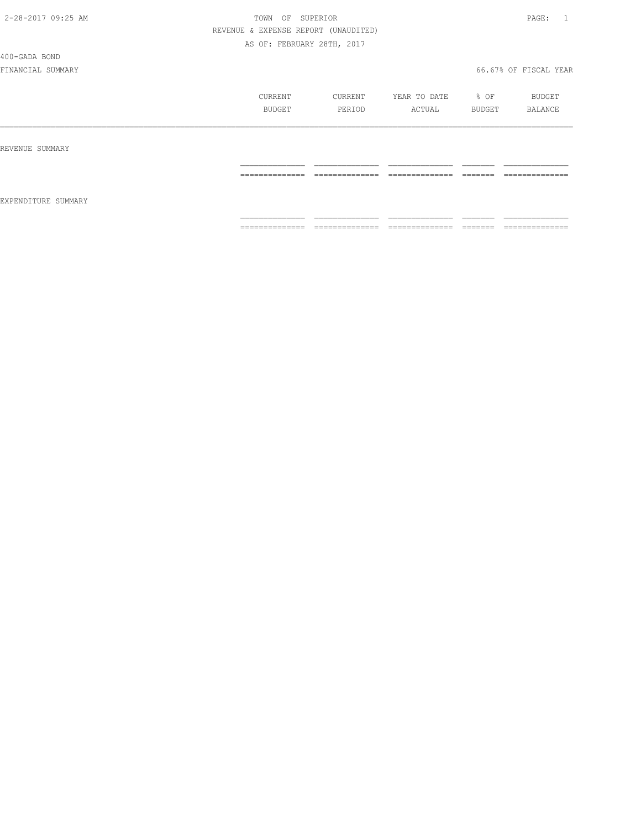400-GADA BOND

|                     | CURRENT<br>BUDGET   | CURRENT<br>PERIOD   | YEAR TO DATE<br>ACTUAL | % OF<br>BUDGET      | BUDGET<br>BALANCE                 |
|---------------------|---------------------|---------------------|------------------------|---------------------|-----------------------------------|
| REVENUE SUMMARY     |                     |                     |                        |                     |                                   |
| EXPENDITURE SUMMARY | --------------<br>. | --------------<br>. | ---------------<br>.   | -------<br>________ | --------------<br>_______________ |
|                     | ==============      | ==============      | ==============         | <b>EEEEEEE</b>      | ==============                    |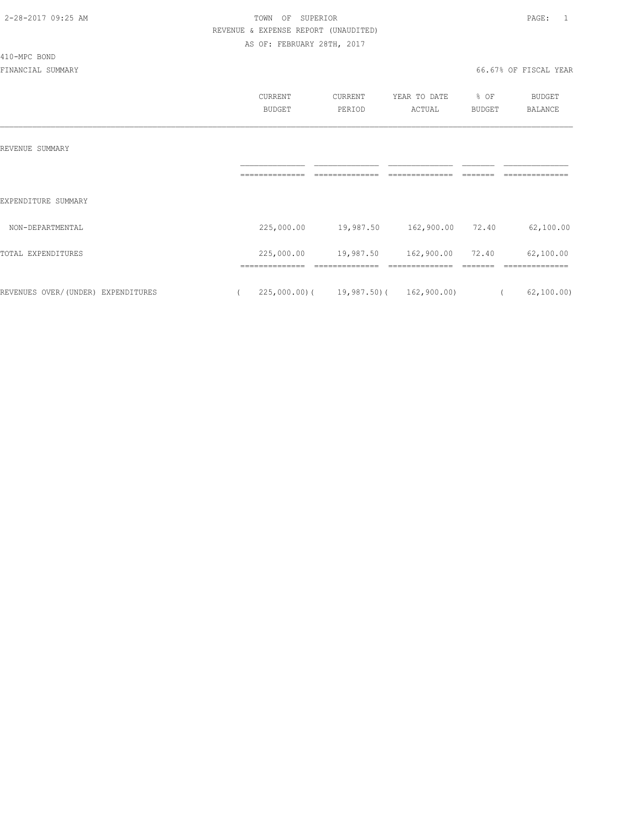410-MPC BOND

## 2-28-2017 09:25 AM **PAGE:** 1 REVENUE & EXPENSE REPORT (UNAUDITED) AS OF: FEBRUARY 28TH, 2017

|                                    | CURRENT<br><b>BUDGET</b> | CURRENT<br>PERIOD                       | YEAR TO DATE<br>ACTUAL | % OF<br><b>BUDGET</b> | <b>BUDGET</b><br>BALANCE  |
|------------------------------------|--------------------------|-----------------------------------------|------------------------|-----------------------|---------------------------|
| REVENUE SUMMARY                    |                          |                                         |                        |                       |                           |
|                                    |                          |                                         |                        |                       |                           |
| EXPENDITURE SUMMARY                |                          |                                         |                        |                       |                           |
| NON-DEPARTMENTAL                   | 225,000.00               | 19,987.50    162,900.00    72.40        |                        |                       | 62,100.00                 |
| TOTAL EXPENDITURES                 | 225,000.00               | 19,987.50                               | 162,900.00             | 72.40                 | 62,100.00                 |
| REVENUES OVER/(UNDER) EXPENDITURES |                          | $225,000.00$ ( 19,987.50) ( 162,900.00) |                        |                       | 62, 100.00)<br>$\sqrt{2}$ |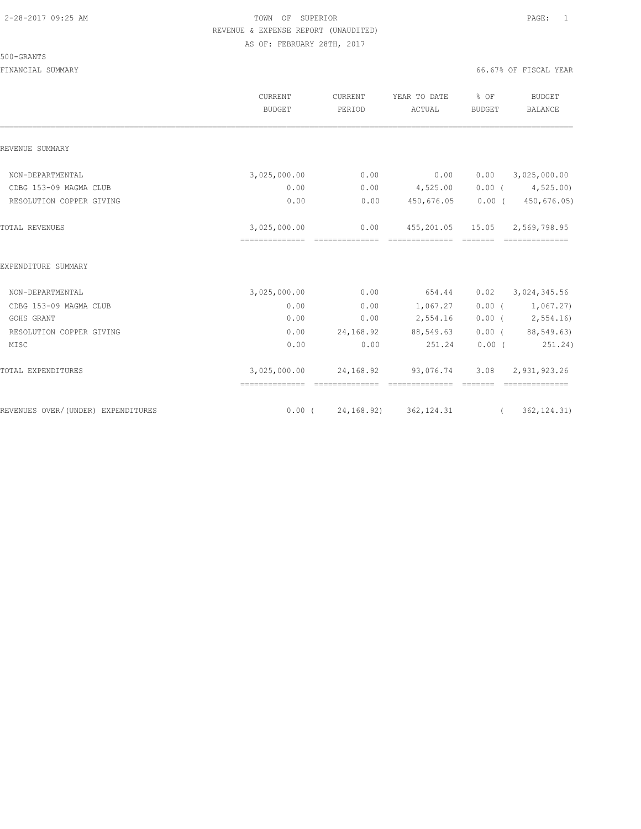#### 500-GRANTS

|                                    | <b>CURRENT</b><br><b>BUDGET</b> | CURRENT<br>PERIOD                                                                                                                                                                                                                                                                                                                                                                                                                                                                              | YEAR TO DATE<br>ACTUAL                   | % OF<br><b>BUDGET</b>                                                                                                                                                                                                                                                                                                                                                                                                                                                                          | <b>BUDGET</b><br><b>BALANCE</b>  |
|------------------------------------|---------------------------------|------------------------------------------------------------------------------------------------------------------------------------------------------------------------------------------------------------------------------------------------------------------------------------------------------------------------------------------------------------------------------------------------------------------------------------------------------------------------------------------------|------------------------------------------|------------------------------------------------------------------------------------------------------------------------------------------------------------------------------------------------------------------------------------------------------------------------------------------------------------------------------------------------------------------------------------------------------------------------------------------------------------------------------------------------|----------------------------------|
| REVENUE SUMMARY                    |                                 |                                                                                                                                                                                                                                                                                                                                                                                                                                                                                                |                                          |                                                                                                                                                                                                                                                                                                                                                                                                                                                                                                |                                  |
| NON-DEPARTMENTAL                   | 3,025,000.00                    | 0.00                                                                                                                                                                                                                                                                                                                                                                                                                                                                                           | 0.00                                     | 0.00                                                                                                                                                                                                                                                                                                                                                                                                                                                                                           | 3,025,000.00                     |
| CDBG 153-09 MAGMA CLUB             | 0.00                            | 0.00                                                                                                                                                                                                                                                                                                                                                                                                                                                                                           | 4,525.00                                 |                                                                                                                                                                                                                                                                                                                                                                                                                                                                                                | $0.00$ ( $4,525.00$ )            |
| RESOLUTION COPPER GIVING           | 0.00                            | 0.00                                                                                                                                                                                                                                                                                                                                                                                                                                                                                           | 450,676.05                               | $0.00$ (                                                                                                                                                                                                                                                                                                                                                                                                                                                                                       | 450,676.05)                      |
| <b>TOTAL REVENUES</b>              | 3,025,000.00                    | 0.00<br>$\begin{array}{cccccccccccccc} \multicolumn{2}{c}{} & \multicolumn{2}{c}{} & \multicolumn{2}{c}{} & \multicolumn{2}{c}{} & \multicolumn{2}{c}{} & \multicolumn{2}{c}{} & \multicolumn{2}{c}{} & \multicolumn{2}{c}{} & \multicolumn{2}{c}{} & \multicolumn{2}{c}{} & \multicolumn{2}{c}{} & \multicolumn{2}{c}{} & \multicolumn{2}{c}{} & \multicolumn{2}{c}{} & \multicolumn{2}{c}{} & \multicolumn{2}{c}{} & \multicolumn{2}{c}{} & \multicolumn{2}{c}{} & \multicolumn{2}{c}{} & \$ | ==============                           | -------                                                                                                                                                                                                                                                                                                                                                                                                                                                                                        | 455, 201.05 15.05 2, 569, 798.95 |
| EXPENDITURE SUMMARY                |                                 |                                                                                                                                                                                                                                                                                                                                                                                                                                                                                                |                                          |                                                                                                                                                                                                                                                                                                                                                                                                                                                                                                |                                  |
| NON-DEPARTMENTAL                   | 3,025,000.00                    | 0.00                                                                                                                                                                                                                                                                                                                                                                                                                                                                                           | 654.44                                   | 0.02                                                                                                                                                                                                                                                                                                                                                                                                                                                                                           | 3,024,345.56                     |
| CDBG 153-09 MAGMA CLUB             | 0.00                            | 0.00                                                                                                                                                                                                                                                                                                                                                                                                                                                                                           | 1,067.27                                 |                                                                                                                                                                                                                                                                                                                                                                                                                                                                                                | $0.00$ ( $1,067.27$ )            |
| GOHS GRANT                         | 0.00                            | 0.00                                                                                                                                                                                                                                                                                                                                                                                                                                                                                           | 2,554.16                                 |                                                                                                                                                                                                                                                                                                                                                                                                                                                                                                | $0.00$ ( 2,554.16)               |
| RESOLUTION COPPER GIVING           | 0.00                            | 24,168.92                                                                                                                                                                                                                                                                                                                                                                                                                                                                                      | 88,549.63                                |                                                                                                                                                                                                                                                                                                                                                                                                                                                                                                | $0.00$ ( $88,549.63$ )           |
| MISC                               | 0.00                            | 0.00                                                                                                                                                                                                                                                                                                                                                                                                                                                                                           | 251.24                                   | $0.00$ (                                                                                                                                                                                                                                                                                                                                                                                                                                                                                       | 251.24)                          |
| TOTAL EXPENDITURES                 | 3,025,000.00                    |                                                                                                                                                                                                                                                                                                                                                                                                                                                                                                | 24, 168.92 93, 076.74<br>ssessessessess. | 3.08<br>$\begin{array}{cccccccccc} \multicolumn{2}{c}{} & \multicolumn{2}{c}{} & \multicolumn{2}{c}{} & \multicolumn{2}{c}{} & \multicolumn{2}{c}{} & \multicolumn{2}{c}{} & \multicolumn{2}{c}{} & \multicolumn{2}{c}{} & \multicolumn{2}{c}{} & \multicolumn{2}{c}{} & \multicolumn{2}{c}{} & \multicolumn{2}{c}{} & \multicolumn{2}{c}{} & \multicolumn{2}{c}{} & \multicolumn{2}{c}{} & \multicolumn{2}{c}{} & \multicolumn{2}{c}{} & \multicolumn{2}{c}{} & \multicolumn{2}{c}{} & \mult$ | 2,931,923.26<br>---------------  |
| REVENUES OVER/(UNDER) EXPENDITURES |                                 |                                                                                                                                                                                                                                                                                                                                                                                                                                                                                                | $0.00$ ( $24,168.92$ ) 362,124.31        | $\overline{a}$ and $\overline{a}$ and $\overline{a}$ and $\overline{a}$ and $\overline{a}$ and $\overline{a}$ and $\overline{a}$ and $\overline{a}$ and $\overline{a}$ and $\overline{a}$ and $\overline{a}$ and $\overline{a}$ and $\overline{a}$ and $\overline{a}$ and $\overline{a}$ and $\overline{a}$ and $\overline{a}$ and                                                                                                                                                             | 362, 124.31)                     |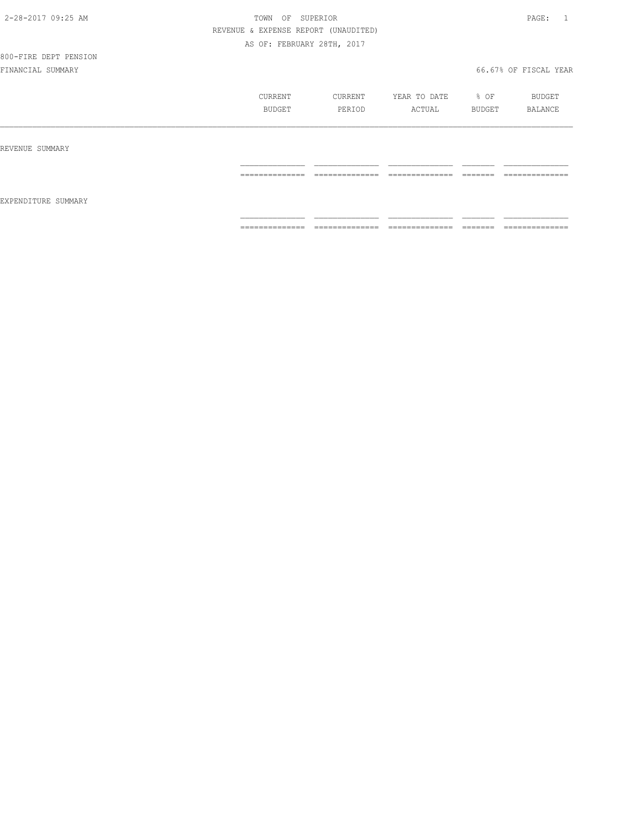## 800-FIRE DEPT PENSION

|                     | CURRENT<br>BUDGET   | CURRENT<br>PERIOD                 | YEAR TO DATE<br>ACTUAL             | % OF<br>BUDGET      | BUDGET<br>BALANCE                |
|---------------------|---------------------|-----------------------------------|------------------------------------|---------------------|----------------------------------|
| REVENUE SUMMARY     |                     |                                   |                                    |                     |                                  |
|                     | ==============      | ______________<br>_______________ | ______________<br>_______________  | --------<br>______  | ---------------<br>------------  |
| EXPENDITURE SUMMARY | --------------<br>. | --------------<br>_______________ | ---------------<br>_______________ | --------<br>------- | --------------<br>______________ |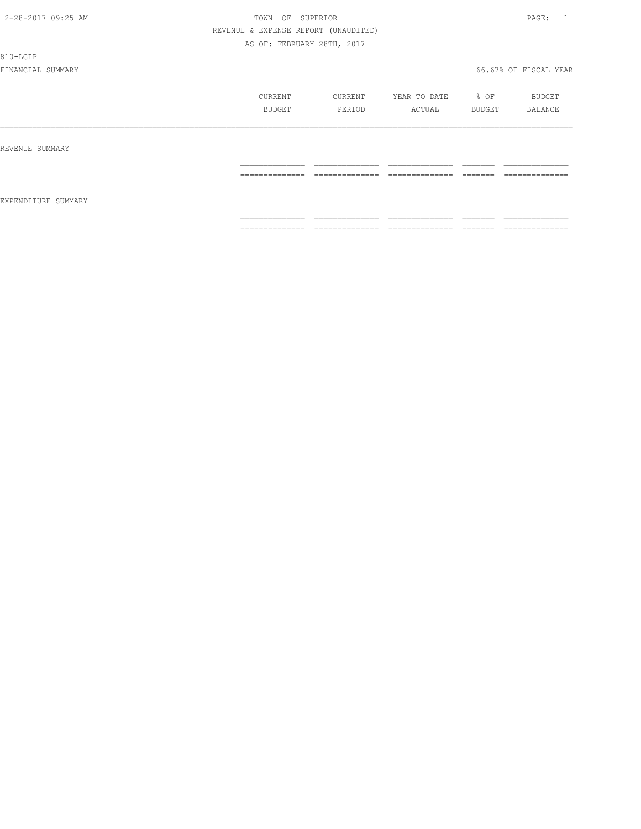#### 810-LGIP

|                     | CURRENT<br><b>BUDGET</b> | CURRENT<br>PERIOD                 | YEAR TO DATE<br>ACTUAL | $\div$ OF<br>BUDGET | BUDGET<br>BALANCE   |
|---------------------|--------------------------|-----------------------------------|------------------------|---------------------|---------------------|
| REVENUE SUMMARY     | ==============           | ==============                    | ==============         | <b>COOCCOO</b>      | ==============      |
| EXPENDITURE SUMMARY |                          |                                   |                        |                     |                     |
|                     | ==============           | --------------<br>--------------- | ---------------<br>.   | --------<br>------  | --------------<br>. |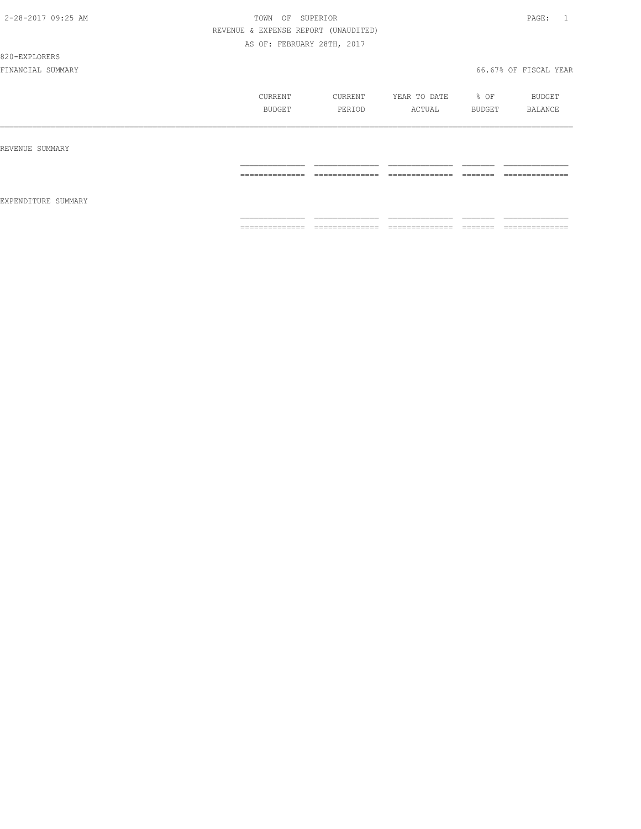#### 820-EXPLORERS

|                     | CURRENT<br>BUDGET | CURRENT<br>PERIOD | YEAR TO DATE<br>ACTUAL | % OF<br>BUDGET | BUDGET<br>BALANCE |
|---------------------|-------------------|-------------------|------------------------|----------------|-------------------|
| REVENUE SUMMARY     |                   |                   |                        |                |                   |
| EXPENDITURE SUMMARY | ==============    | ==============    | ==============         |                | --------------    |
|                     | ==============    | ==============    | ==============         |                | --------------    |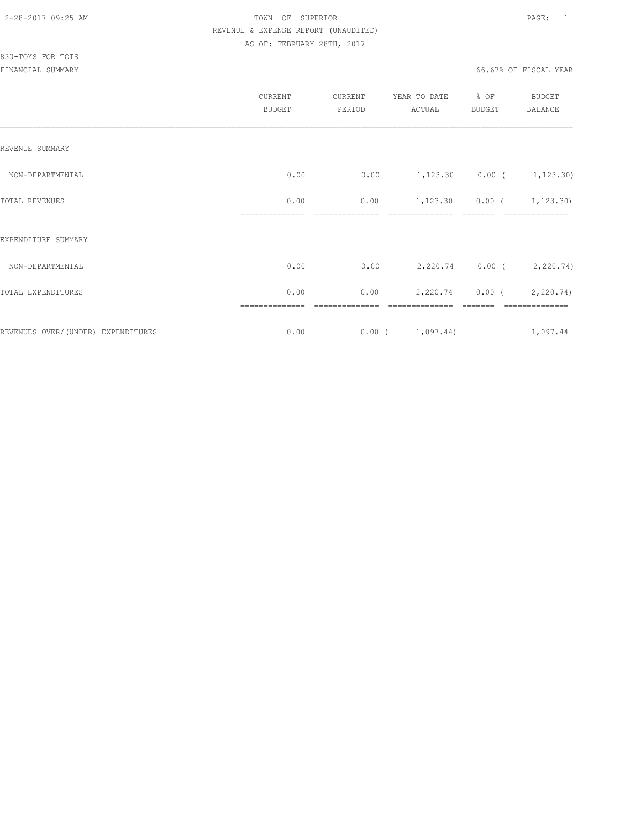## 830-TOYS FOR TOTS

|                                     | CURRENT<br><b>BUDGET</b> | CURRENT<br>PERIOD | YEAR TO DATE<br>ACTUAL           | % OF<br><b>BUDGET</b> | BUDGET<br><b>BALANCE</b> |
|-------------------------------------|--------------------------|-------------------|----------------------------------|-----------------------|--------------------------|
| REVENUE SUMMARY                     |                          |                   |                                  |                       |                          |
| NON-DEPARTMENTAL                    | 0.00                     | 0.00              | $1,123.30$ 0.00 ( 1,123.30)      |                       |                          |
| TOTAL REVENUES                      | 0.00                     | 0.00              | $1,123.30$ $0.00$ ( $1,123.30$ ) |                       |                          |
| EXPENDITURE SUMMARY                 |                          |                   |                                  |                       |                          |
| NON-DEPARTMENTAL                    | 0.00                     | 0.00              |                                  |                       | 2,220.74 0.00 (2,220.74) |
| TOTAL EXPENDITURES                  | 0.00                     | 0.00              |                                  |                       | 2,220.74 0.00 (2,220.74) |
| REVENUES OVER/ (UNDER) EXPENDITURES | 0.00                     |                   | 0.00(1,097.44)                   |                       | 1,097.44                 |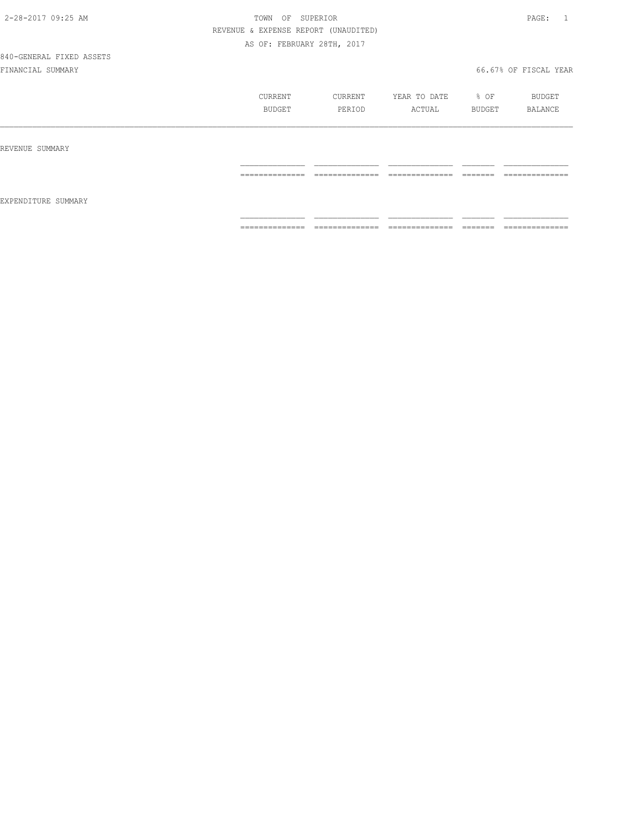# 840-GENERAL FIXED ASSETS

|                     | CURRENT<br>BUDGET                                                                                                                                                                                                                                                                                                                                                                                                                                                                      | CURRENT<br>PERIOD                                                                                                                                                                                                                                                                                                                                                                                                                                                                      | YEAR TO DATE<br>ACTUAL | % OF<br>BUDGET | BUDGET<br>BALANCE                |
|---------------------|----------------------------------------------------------------------------------------------------------------------------------------------------------------------------------------------------------------------------------------------------------------------------------------------------------------------------------------------------------------------------------------------------------------------------------------------------------------------------------------|----------------------------------------------------------------------------------------------------------------------------------------------------------------------------------------------------------------------------------------------------------------------------------------------------------------------------------------------------------------------------------------------------------------------------------------------------------------------------------------|------------------------|----------------|----------------------------------|
| REVENUE SUMMARY     |                                                                                                                                                                                                                                                                                                                                                                                                                                                                                        |                                                                                                                                                                                                                                                                                                                                                                                                                                                                                        |                        |                |                                  |
|                     | $\begin{array}{cccccccccc} \multicolumn{2}{c}{} & \multicolumn{2}{c}{} & \multicolumn{2}{c}{} & \multicolumn{2}{c}{} & \multicolumn{2}{c}{} & \multicolumn{2}{c}{} & \multicolumn{2}{c}{} & \multicolumn{2}{c}{} & \multicolumn{2}{c}{} & \multicolumn{2}{c}{} & \multicolumn{2}{c}{} & \multicolumn{2}{c}{} & \multicolumn{2}{c}{} & \multicolumn{2}{c}{} & \multicolumn{2}{c}{} & \multicolumn{2}{c}{} & \multicolumn{2}{c}{} & \multicolumn{2}{c}{} & \multicolumn{2}{c}{} & \mult$ | $\begin{array}{cccccccccc} \multicolumn{2}{c}{} & \multicolumn{2}{c}{} & \multicolumn{2}{c}{} & \multicolumn{2}{c}{} & \multicolumn{2}{c}{} & \multicolumn{2}{c}{} & \multicolumn{2}{c}{} & \multicolumn{2}{c}{} & \multicolumn{2}{c}{} & \multicolumn{2}{c}{} & \multicolumn{2}{c}{} & \multicolumn{2}{c}{} & \multicolumn{2}{c}{} & \multicolumn{2}{c}{} & \multicolumn{2}{c}{} & \multicolumn{2}{c}{} & \multicolumn{2}{c}{} & \multicolumn{2}{c}{} & \multicolumn{2}{c}{} & \mult$ | ==============         |                | ______________<br>-------------- |
| EXPENDITURE SUMMARY | ==============                                                                                                                                                                                                                                                                                                                                                                                                                                                                         | ==============                                                                                                                                                                                                                                                                                                                                                                                                                                                                         | ==============         | --------       | ==============                   |